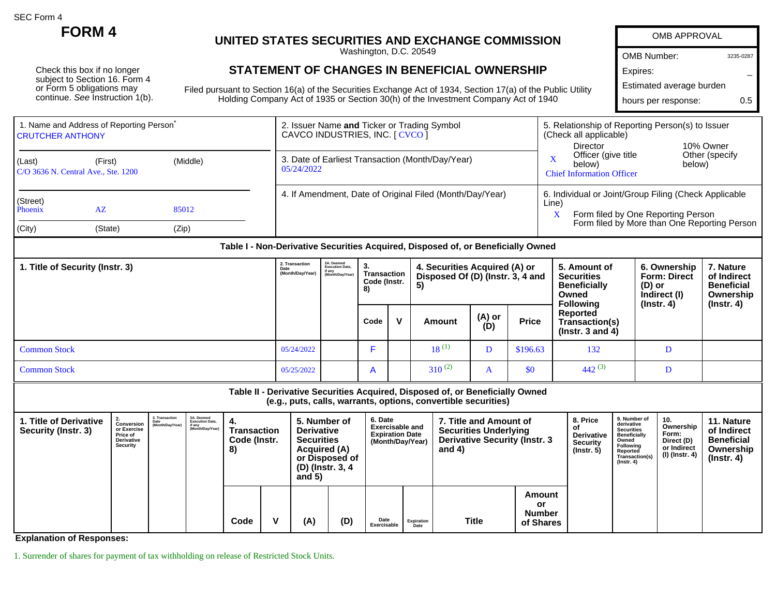SEC Form 4

Check this box if no longer subject to Section 16. Form 4 or Form 5 obligations may continue. See Instruction 1(b).

## **FORM 4** UNITED STATES SECURITIES AND EXCHANGE COMM

Washington, D.C. 20549

## **STATEMENT OF CHANGES IN BENEFICIAL OWNI**

Filed pursuant to Section 16(a) of the Securities Exchange Act of 1934, Section 17(a) of the Public Utility Holding Company Act of 1935 or Section 30(h) of the Investment Company Act of 1940

| <b>MMISSION</b>           | <b>OMB APPROVAL</b>                              |           |  |  |  |  |  |  |  |
|---------------------------|--------------------------------------------------|-----------|--|--|--|--|--|--|--|
|                           | OMB Number:                                      | 3235-0287 |  |  |  |  |  |  |  |
| <b>ERSHIP</b>             | Expires:                                         |           |  |  |  |  |  |  |  |
| (a) of the Public Utility | Estimated average burden                         |           |  |  |  |  |  |  |  |
| y Act of 1940             | hours per response:                              | 0.5       |  |  |  |  |  |  |  |
|                           | 5. Relationship of Reporting Person(s) to Issuer |           |  |  |  |  |  |  |  |

| <b>CRUTCHER ANTHONY</b>         | 1. Name and Address of Reporting Person <sup>®</sup> |          |                                            |                                                            | 2. Issuer Name and Ticker or Trading Symbol<br>CAVCO INDUSTRIES, INC. [ CVCO ] |                                                                                  | 5. Relationship of Reporting Person(s) to Issuer<br>(Check all applicable)<br>10% Owner<br>Director                        |                                                              |                                                    |  |  |
|---------------------------------|------------------------------------------------------|----------|--------------------------------------------|------------------------------------------------------------|--------------------------------------------------------------------------------|----------------------------------------------------------------------------------|----------------------------------------------------------------------------------------------------------------------------|--------------------------------------------------------------|----------------------------------------------------|--|--|
| (Last)                          | (First)<br>C/O 3636 N. Central Ave., Ste. 1200       | (Middle) | 05/24/2022                                 |                                                            |                                                                                | 3. Date of Earliest Transaction (Month/Day/Year)                                 | Officer (give title)<br>Other (specify)<br>$\overline{\mathbf{X}}$<br>below)<br>below)<br><b>Chief Information Officer</b> |                                                              |                                                    |  |  |
| (Street)<br>Phoenix             | AZ                                                   | 85012    |                                            |                                                            |                                                                                | 4. If Amendment, Date of Original Filed (Month/Day/Year)                         | 6. Individual or Joint/Group Filing (Check Applicable<br>Line)<br>X<br>Form filed by One Reporting Person                  |                                                              |                                                    |  |  |
| (City)                          | (State)                                              | (Zip)    |                                            |                                                            |                                                                                |                                                                                  |                                                                                                                            | Form filed by More than One Reporting Person                 |                                                    |  |  |
|                                 |                                                      |          |                                            |                                                            |                                                                                | Table I - Non-Derivative Securities Acquired, Disposed of, or Beneficially Owned |                                                                                                                            |                                                              |                                                    |  |  |
| 1. Title of Security (Instr. 3) |                                                      |          | 2. Transaction<br>Date<br>(Month/Day/Year) | 2A. Deemed<br>Execution Date,<br>if any<br>(Month/Dav/Year | 3.<br><b>Transaction</b><br>Code (Instr.<br>8)                                 | 4. Securities Acquired (A) or<br>Disposed Of (D) (Instr. 3, 4 and<br>5)          | 5. Amount of<br><b>Securities</b><br><b>Beneficially</b><br>Q                                                              | 6. Ownership<br><b>Form: Direct</b><br>(D) or<br>$l = l - l$ | 7. Nature<br>of Indirect<br><b>Beneficial</b><br>Q |  |  |

|                     |            | ◡,             |              |             |               |              | Owned<br><b>Following</b>                          | Indirect (I)<br>$($ lnstr. 4 $)$ | Ownership<br>$($ lnstr. 4 $)$ |
|---------------------|------------|----------------|--------------|-------------|---------------|--------------|----------------------------------------------------|----------------------------------|-------------------------------|
|                     |            | Code           | $\mathbf{v}$ | Amount      | (A) or<br>(D) | <b>Price</b> | Reported<br>Transaction(s)<br>( $lnstr. 3 and 4$ ) |                                  |                               |
| <b>Common Stock</b> | 05/24/2022 |                |              | $18^{(1)}$  | ע             | \$196.63     | 132                                                | .,                               |                               |
| <b>Common Stock</b> | 05/25/2022 | $\overline{A}$ |              | $310^{(2)}$ | $\mathbf{r}$  | \$0          | $442^{(3)}$                                        |                                  |                               |

| Table II - Derivative Securities Acquired, Disposed of, or Beneficially Owned<br>(e.g., puts, calls, warrants, options, convertible securities) |                                                                        |                                            |                                                                    |                                                                                                                                                                      |   |                                                                                 |     |                                                                                                            |                    |                                                                      |                                                                                                                                                |                                                                          |                                                                                 |  |  |
|-------------------------------------------------------------------------------------------------------------------------------------------------|------------------------------------------------------------------------|--------------------------------------------|--------------------------------------------------------------------|----------------------------------------------------------------------------------------------------------------------------------------------------------------------|---|---------------------------------------------------------------------------------|-----|------------------------------------------------------------------------------------------------------------|--------------------|----------------------------------------------------------------------|------------------------------------------------------------------------------------------------------------------------------------------------|--------------------------------------------------------------------------|---------------------------------------------------------------------------------|--|--|
| 1. Title of Derivative<br>Security (Instr. 3)                                                                                                   | Conversion<br>or Exercise<br>Price of<br><b>Derivative</b><br>Security | 3. Transaction<br>Date<br>(Month/Day/Year) | 3A. Deemed<br><b>Execution Date,</b><br>if any<br>(Month/Day/Year) | 5. Number of<br><b>Derivative</b><br>Transaction<br>Code (Instr.<br><b>Securities</b><br><b>Acquired (A)</b><br>8)<br>or Disposed of<br>(D) (Instr. 3, 4<br>and $5)$ |   | 6. Date<br><b>Exercisable and</b><br><b>Expiration Date</b><br>(Month/Day/Year) |     | 7. Title and Amount of<br><b>Securities Underlying</b><br><b>Derivative Security (Instr. 3</b><br>and $4)$ |                    | 8. Price<br><b>Derivative</b><br><b>Security</b><br>$($ lnstr. 5 $)$ | 9. Number of<br>derivative<br><b>Securities</b><br><b>Beneficially</b><br>Owned<br>Following<br>Reported<br>Transaction(s)<br>$($ Instr. 4 $)$ | 10.<br>Ownership<br>Form:<br>Direct (D)<br>or Indirect<br>(I) (Instr. 4) | 11. Nature<br>of Indirect<br><b>Beneficial</b><br>Ownership<br>$($ lnstr. 4 $)$ |  |  |
|                                                                                                                                                 |                                                                        |                                            |                                                                    | Code                                                                                                                                                                 | v | (A)                                                                             | (D) | Date<br>Exercisable                                                                                        | Expiration<br>Date | Title                                                                | Amount<br>or<br><b>Number</b><br>of Shares                                                                                                     |                                                                          |                                                                                 |  |  |

**Explanation of Responses:**

1. Surrender of shares for payment of tax withholding on release of Restricted Stock Units.